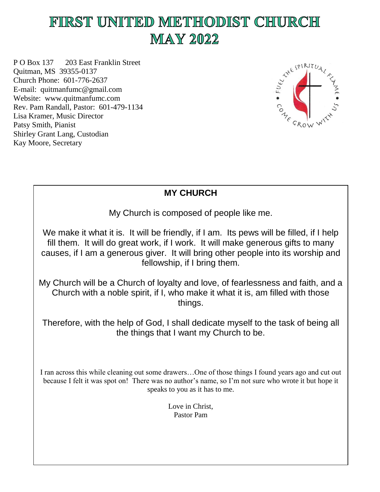# FIRST UNITED METHODIST CHURCH **MAY 2022**

P O Box 137 203 East Franklin Street Quitman, MS 39355-0137 Church Phone: 601-776-2637 E-mail: quitmanfumc@gmail.com Website: www.quitmanfumc.com Rev. Pam Randall, Pastor: 601-479-1134 Lisa Kramer, Music Director Patsy Smith, Pianist Shirley Grant Lang, Custodian Kay Moore, Secretary



# **MY CHURCH**

My Church is composed of people like me.

We make it what it is. It will be friendly, if I am. Its pews will be filled, if I help fill them. It will do great work, if I work. It will make generous gifts to many causes, if I am a generous giver. It will bring other people into its worship and fellowship, if I bring them.

My Church will be a Church of loyalty and love, of fearlessness and faith, and a Church with a noble spirit, if I, who make it what it is, am filled with those things.

Therefore, with the help of God, I shall dedicate myself to the task of being all the things that I want my Church to be.

I ran across this while cleaning out some drawers…One of those things I found years ago and cut out because I felt it was spot on! There was no author's name, so I'm not sure who wrote it but hope it speaks to you as it has to me.

> Love in Christ, Pastor Pam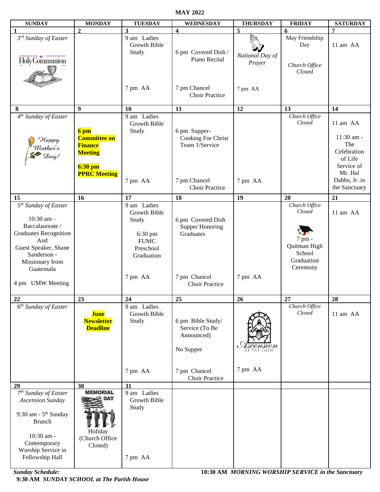**MAY 2022**

| <b>SUNDAY</b>                    | <b>MONDAY</b>       | <b>TUESDAY</b> | <b>WEDNESDAY</b>                      | <b>THURSDAY</b> | <b>FRIDAY</b>           | <b>SATURDAY</b> |
|----------------------------------|---------------------|----------------|---------------------------------------|-----------------|-------------------------|-----------------|
|                                  | $\overline{2}$      | 3              | $\overline{\mathbf{4}}$               | 5               | 6                       | $\overline{7}$  |
| 3rd Sunday of Easter             |                     | 9 am Ladies    |                                       |                 | May Friendship          |                 |
|                                  |                     | Growth Bible   |                                       |                 | Day                     | 11 am AA        |
|                                  |                     | Study          | 6 pm Covered Dish /                   |                 |                         |                 |
| Holy Communion                   |                     |                | Piano Recital                         | National Day of |                         |                 |
|                                  |                     |                |                                       | Prayer          | Church Office           |                 |
|                                  |                     |                |                                       |                 | Closed                  |                 |
|                                  |                     |                |                                       |                 |                         |                 |
|                                  |                     |                |                                       |                 |                         |                 |
|                                  |                     | 7 pm AA        | 7 pm Chancel<br><b>Choir Practice</b> | 7 pm AA         |                         |                 |
|                                  |                     |                |                                       |                 |                         |                 |
|                                  | 9                   | 10             | 11                                    | 12              | 13                      | 14              |
| 8                                |                     |                |                                       |                 |                         |                 |
| $4th$ Sunday of Easter           |                     | 9 am Ladies    |                                       |                 | Church Office<br>Closed |                 |
|                                  |                     | Growth Bible   |                                       |                 |                         | 11 am AA        |
|                                  | 6 pm                | Study          | 6 pm Supper-                          |                 |                         |                 |
| Happy                            | <b>Committee on</b> |                | Cooking For Christ                    |                 |                         | 11:30 am -      |
| Mother's                         | <b>Finance</b>      |                | Team 1/Service                        |                 |                         | The             |
| $\mathcal{D}ay!$                 | <b>Meeting</b>      |                |                                       |                 |                         | Celebration     |
|                                  |                     |                |                                       |                 |                         | of Life         |
|                                  | $6:30$ pm           |                |                                       |                 |                         | Service of      |
|                                  | <b>PPRC Meeting</b> |                |                                       |                 |                         | Mr. Hal         |
|                                  |                     | 7 pm AA        | 7 pm Chancel                          | 7 pm AA         |                         | Dabbs, Jr. in   |
|                                  |                     |                | <b>Choir Practice</b>                 |                 |                         | the Sanctuary   |
| 15                               | 16                  | 17             | 18                                    | 19              | 20                      | 21              |
| 5 <sup>th</sup> Sunday of Easter |                     | 9 am Ladies    |                                       |                 | Church Office           |                 |
|                                  |                     | Growth Bible   |                                       |                 | Closed                  | 11 am AA        |
| $10:30$ am $-$                   |                     |                | 6 pm Covered Dish                     |                 |                         |                 |
| Baccalaureate /                  |                     | Study          |                                       |                 |                         |                 |
| <b>Graduates Recognition</b>     |                     |                | <b>Supper Honoring</b>                |                 |                         |                 |
| And                              |                     | 6:30 pm        | Graduates                             |                 | 7 pm -                  |                 |
|                                  |                     | <b>FUMC</b>    |                                       |                 | Quitman High            |                 |
| Guest Speaker, Shane             |                     | Preschool      |                                       |                 | School                  |                 |
| Sanderson -                      |                     | Graduation     |                                       |                 | Graduation              |                 |
| Missionary from                  |                     |                |                                       |                 | Ceremony                |                 |
| Guatemala                        |                     |                |                                       |                 |                         |                 |
|                                  |                     | 7 pm AA        | 7 pm Chancel                          | 7 pm AA         |                         |                 |
| 4 pm UMW Meeting                 |                     |                | <b>Choir Practice</b>                 |                 |                         |                 |
|                                  |                     |                |                                       |                 |                         |                 |
| 22                               | 23                  | 24             | 25                                    | 26              | 27                      | 28              |
| $6th$ Sunday of Easter           |                     | 9 am Ladies    |                                       |                 | Church Office           |                 |
|                                  | <b>June</b>         | Growth Bible   |                                       |                 | Closed                  | 11 am AA        |
|                                  | <b>Newsletter</b>   | Study          | 6 pm Bible Study/                     |                 |                         |                 |
|                                  | <b>Deadline</b>     |                | Service (To Be                        |                 |                         |                 |
|                                  |                     |                | Announced)                            |                 |                         |                 |
|                                  |                     |                |                                       |                 |                         |                 |
|                                  |                     |                | No Supper                             | OF THE LORD     |                         |                 |
|                                  |                     |                |                                       |                 |                         |                 |
|                                  |                     |                |                                       |                 |                         |                 |
|                                  |                     | 7 pm AA        | 7 pm Chancel                          | 7 pm AA         |                         |                 |
|                                  |                     |                | <b>Choir Practice</b>                 |                 |                         |                 |
| 29                               | 30                  | 31             |                                       |                 |                         |                 |
| 7 <sup>th</sup> Sunday of Easter | <b>MEMORIAL</b>     | 9 am Ladies    |                                       |                 |                         |                 |
| <b>Ascension Sunday</b>          | <b>DAY</b>          | Growth Bible   |                                       |                 |                         |                 |
|                                  |                     | Study          |                                       |                 |                         |                 |
| 9:30 am - $5th$ Sunday           |                     |                |                                       |                 |                         |                 |
|                                  |                     |                |                                       |                 |                         |                 |
| <b>Brunch</b>                    |                     |                |                                       |                 |                         |                 |
|                                  | Holiday             |                |                                       |                 |                         |                 |
| 10:30 am -                       | (Church Office      |                |                                       |                 |                         |                 |
| Contemporary                     | Closed)             |                |                                       |                 |                         |                 |
| Worship Service in               |                     |                |                                       |                 |                         |                 |
| Fellowship Hall                  |                     | 7 pm AA        |                                       |                 |                         |                 |
|                                  |                     |                |                                       |                 |                         |                 |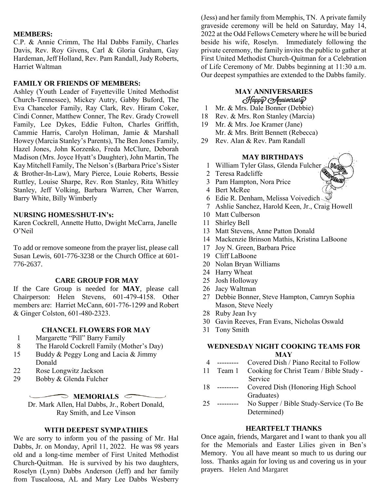# **MEMBERS:**

C.P. & Annie Crimm, The Hal Dabbs Family, Charles Davis, Rev. Roy Givens, Carl & Gloria Graham, Gay Hardeman, Jeff Holland, Rev. Pam Randall, Judy Roberts, Harriet Waltman

# **FAMILY OR FRIENDS OF MEMBERS:**

Ashley (Youth Leader of Fayetteville United Methodist Church-Tennessee), Mickey Autry, Gabby Buford, The Eva Chancelor Family, Ray Clark, Rev. Hiram Coker, Cindi Conner, Matthew Conner, The Rev. Grady Crowell Family, Lee Dykes, Eddie Fulton, Charles Griffith, Cammie Harris, Carolyn Holiman, Jamie & Marshall Howey (Marcia Stanley's Parents), The Ben Jones Family, Hazel Jones, John Korzenko, Freda McClure, Deborah Madison (Mrs. Joyce Hyatt's Daughter), John Martin, The Kay Mitchell Family, The Nelson's (Barbara Price's Sister & Brother-In-Law), Mary Pierce, Louie Roberts, Bessie Ruttley, Louise Sharpe, Rev. Ron Stanley, Rita Whitley Stanley, Jeff Volking, Barbara Warren, Cher Warren, Barry White, Billy Wimberly

# **NURSING HOMES/SHUT-IN's:**

Karen Cockrell, Annette Hutto, Dwight McCarra, Janelle O'Neil

To add or remove someone from the prayer list, please call Susan Lewis, 601-776-3238 or the Church Office at 601- 776-2637.

## **CARE GROUP FOR MAY**

If the Care Group is needed for **MAY**, please call Chairperson: Helen Stevens, 601-479-4158. Other members are: Harriet McCann, 601-776-1299 and Robert & Ginger Colston, 601-480-2323.

# **CHANCEL FLOWERS FOR MAY**

- 1 Margarette "Pill" Barry Family<br>8 The Harold Cockrell Family (M
- The Harold Cockrell Family (Mother's Day)
- 15 Buddy & Peggy Long and Lacia & Jimmy Donald
- 22 Rose Longwitz Jackson
- 29 Bobby & Glenda Fulcher

# **MEMORIALS** C

Dr. Mark Allen, Hal Dabbs, Jr., Robert Donald, Ray Smith, and Lee Vinson

# **WITH DEEPEST SYMPATHIES**

We are sorry to inform you of the passing of Mr. Hal Dabbs, Jr. on Monday, April 11, 2022. He was 98 years old and a long-time member of First United Methodist Church-Quitman. He is survived by his two daughters, Roselyn (Lynn) Dabbs Anderson (Jeff) and her family from Tuscaloosa, AL and Mary Lee Dabbs Wesberry

(Jess) and her family from Memphis, TN. A private family graveside ceremony will be held on Saturday, May 14, 2022 at the Odd Fellows Cemetery where he will be buried beside his wife, Roselyn. Immediately following the private ceremony, the family invites the public to gather at First United Methodist Church-Quitman for a Celebration of Life Ceremony of Mr. Dabbs beginning at 11:30 a.m. Our deepest sympathies are extended to the Dabbs family.

# **MAY ANNIVERSARIES**

- 1 Mr. & Mrs. Dale Bonner (Debbie)
- 18 Rev. & Mrs. Ron Stanley (Marcia)
- 19 Mr. & Mrs. Joe Kramer (Jane) Mr. & Mrs. Britt Bennett (Rebecca)
- 29 Rev. Alan & Rev. Pam Randall

# **MAY BIRTHDAYS**

- 1 William Tyler Glass, Glenda Fulcher
- 2 Teresa Radcliffe
- 3 Pam Hampton, Nora Price
- 4 Bert McRee
- 6 Edie R. Denham, Melissa Voivedich
- 7 Ashlie Sanchez, Harold Keen, Jr., Craig Howell
- 10 Matt Culberson
- 11 Shirley Bell
- 13 Matt Stevens, Anne Patton Donald
- 14 Mackenzie Brinson Mathis, Kristina LaBoone
- 17 Joy N. Green, Barbara Price
- 19 Cliff LaBoone
- 20 Nolan Bryan Williams
- 24 Harry Wheat
- 25 Josh Holloway
- 26 Jacy Waltman
- 27 Debbie Bonner, Steve Hampton, Camryn Sophia Mason, Steve Neely
- 28 Ruby Jean Ivy
- 30 Gavin Reeves, Fran Evans, Nicholas Oswald
- 31 Tony Smith

# **WEDNESDAY NIGHT COOKING TEAMS FOR MAY**

- 4 --------- Covered Dish / Piano Recital to Follow
- 11 Team 1 Cooking for Christ Team / Bible Study Service
- 18 --------- Covered Dish (Honoring High School Graduates)
- 25 --------- No Supper / Bible Study-Service (To Be Determined)

# **HEARTFELT THANKS**

Once again, friends, Margaret and I want to thank you all for the Memorials and Easter Lilies given in Ben's Memory. You all have meant so much to us during our loss. Thanks again for loving us and covering us in your prayers. Helen And Margaret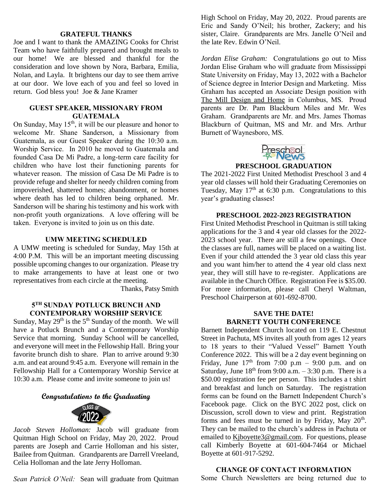# **GRATEFUL THANKS**

Joe and I want to thank the AMAZING Cooks for Christ Team who have faithfully prepared and brought meals to our home! We are blessed and thankful for the consideration and love shown by Nora, Barbara, Emilia, Nolan, and Layla. It brightens our day to see them arrive at our door. We love each of you and feel so loved in return. God bless you! Joe & Jane Kramer

#### **GUEST SPEAKER, MISSIONARY FROM GUATEMALA**

On Sunday, May  $15<sup>th</sup>$ , it will be our pleasure and honor to welcome Mr. Shane Sanderson, a Missionary from Guatemala, as our Guest Speaker during the 10:30 a.m. Worship Service. In 2010 he moved to Guatemala and founded Casa De Mi Padre, a long-term care facility for children who have lost their functioning parents for whatever reason. The mission of Casa De Mi Padre is to provide refuge and shelter for needy children coming from impoverished, shattered homes; abandonment, or homes where death has led to children being orphaned. Mr. Sanderson will be sharing his testimony and his work with non-profit youth organizations. A love offering will be taken. Everyone is invited to join us on this date.

# **UMW MEETING SCHEDULED**

A UMW meeting is scheduled for Sunday, May 15th at 4:00 P.M. This will be an important meeting discussing possible upcoming changes to our organization. Please try to make arrangements to have at least one or two representatives from each circle at the meeting.

Thanks, Patsy Smith

# **5 TH SUNDAY POTLUCK BRUNCH AND CONTEMPORARY WORSHIP SERVICE**

Sunday, May  $29<sup>th</sup>$  is the  $5<sup>th</sup>$  Sunday of the month. We will have a Potluck Brunch and a Contemporary Worship Service that morning. Sunday School will be cancelled, and everyone will meet in the Fellowship Hall. Bring your favorite brunch dish to share. Plan to arrive around 9:30 a.m. and eat around 9:45 a.m. Everyone will remain in the Fellowship Hall for a Contemporary Worship Service at 10:30 a.m. Please come and invite someone to join us!

# **Congratulations to the Graduating**



*Jacob Steven Holloman:* Jacob will graduate from Quitman High School on Friday, May 20, 2022. Proud parents are Joseph and Carrie Holloman and his sister, Bailee from Quitman. Grandparents are Darrell Vreeland, Celia Holloman and the late Jerry Holloman.

*Sean Patrick O'Neil:* Sean will graduate from Quitman

High School on Friday, May 20, 2022. Proud parents are Eric and Sandy O'Neil; his brother, Zackery; and his sister, Claire. Grandparents are Mrs. Janelle O'Neil and the late Rev. Edwin O'Neil.

*Jordan Elise Graham:* Congratulations go out to Miss Jordan Elise Graham who will graduate from Mississippi State University on Friday, May 13, 2022 with a Bachelor of Science degree in Interior Design and Marketing. Miss Graham has accepted an Associate Design position with The Mill Design and Home in Columbus, MS. Proud parents are Dr. Pam Blackburn Miles and Mr. Wes Graham. Grandparents are Mr. and Mrs. James Thomas Blackburn of Quitman, MS and Mr. and Mrs. Arthur Burnett of Waynesboro, MS.



#### **PRESCHOOL GRADUATION**

The 2021-2022 First United Methodist Preschool 3 and 4 year old classes will hold their Graduating Ceremonies on Tuesday, May  $17<sup>th</sup>$  at 6:30 p.m. Congratulations to this year's graduating classes!

#### **PRESCHOOL 2022-2023 REGISTRATION**

First United Methodist Preschool in Quitman is still taking applications for the 3 and 4 year old classes for the 2022- 2023 school year. There are still a few openings. Once the classes are full, names will be placed on a waiting list. Even if your child attended the 3 year old class this year and you want him/her to attend the 4 year old class next year, they will still have to re-register. Applications are available in the Church Office. Registration Fee is \$35.00. For more information, please call Cheryl Waltman, Preschool Chairperson at 601-692-8700.

# **SAVE THE DATE! BARNETT YOUTH CONFERENCE**

Barnett Independent Church located on 119 E. Chestnut Street in Pachuta, MS invites all youth from ages 12 years to 18 years to their "Valued Vessel" Barnett Youth Conference 2022. This will be a 2 day event beginning on Friday, June  $17<sup>th</sup>$  from 7:00 p.m – 9:00 p.m. and on Saturday, June  $18<sup>th</sup>$  from 9:00 a.m.  $-3:30$  p.m. There is a \$50.00 registration fee per person. This includes a t shirt and breakfast and lunch on Saturday. The registration forms can be found on the Barnett Independent Church's Facebook page. Click on the BYC 2022 post, click on Discussion, scroll down to view and print. Registration forms and fees must be turned in by Friday, May  $20<sup>th</sup>$ . They can be mailed to the church's address in Pachuta or emailed to [Kjboyette3@gmail.com.](mailto:Kjboyette3@gmail.com) For questions, please call Kimberly Boyette at 601-604-7464 or Michael Boyette at 601-917-5292.

#### **CHANGE OF CONTACT INFORMATION**

Some Church Newsletters are being returned due to